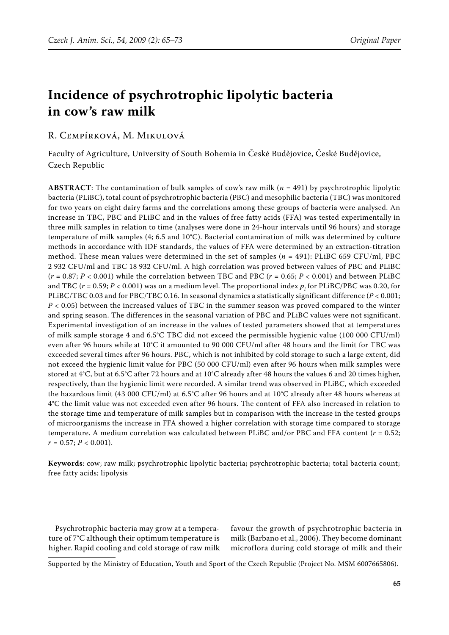# **Incidence of psychrotrophic lipolytic bacteria in cow's raw milk**

# R. Cempírková, M. Mikulová

Faculty of Agriculture, University of South Bohemia in České Budějovice, České Budějovice, Czech Republic

**Abstract**: The contamination of bulk samples of cow's raw milk (*n* = 491) by psychrotrophic lipolytic bacteria (PLiBC), total count of psychrotrophic bacteria (PBC) and mesophilic bacteria (TBC) was monitored for two years on eight dairy farms and the correlations among these groups of bacteria were analysed. An increase in TBC, PBC and PLiBC and in the values of free fatty acids (FFA) was tested experimentally in three milk samples in relation to time (analyses were done in 24-hour intervals until 96 hours) and storage temperature of milk samples (4; 6.5 and 10°C). Bacterial contamination of milk was determined by culture methods in accordance with IDF standards, the values of FFA were determined by an extraction-titration method. These mean values were determined in the set of samples (*n* = 491): PLiBC 659 CFU/ml, PBC 2 932 CFU/ml and TBC 18 932 CFU/ml. A high correlation was proved between values of PBC and PLiBC  $(r = 0.87; P < 0.001)$  while the correlation between TBC and PBC  $(r = 0.65; P < 0.001)$  and between PLiBC and TBC ( $r$  = 0.59;  $P$  < 0.001) was on a medium level. The proportional index  $p_{_i}$  for PLiBC/PBC was 0.20, for PLiBC/TBC 0.03 and for PBC/TBC 0.16. In seasonal dynamics a statistically significant difference (*P* < 0.001; *P* < 0.05) between the increased values of TBC in the summer season was proved compared to the winter and spring season. The differences in the seasonal variation of PBC and PLiBC values were not significant. Experimental investigation of an increase in the values of tested parameters showed that at temperatures of milk sample storage 4 and 6.5°C TBC did not exceed the permissible hygienic value (100 000 CFU/ml) even after 96 hours while at 10°C it amounted to 90 000 CFU/ml after 48 hours and the limit for TBC was exceeded several times after 96 hours. PBC, which is not inhibited by cold storage to such a large extent, did not exceed the hygienic limit value for PBC (50 000 CFU/ml) even after 96 hours when milk samples were stored at 4°C, but at 6.5°C after 72 hours and at 10°C already after 48 hours the values 6 and 20 times higher, respectively, than the hygienic limit were recorded. A similar trend was observed in PLiBC, which exceeded the hazardous limit (43 000 CFU/ml) at 6.5°C after 96 hours and at 10°C already after 48 hours whereas at 4°C the limit value was not exceeded even after 96 hours. The content of FFA also increased in relation to the storage time and temperature of milk samples but in comparison with the increase in the tested groups of microorganisms the increase in FFA showed a higher correlation with storage time compared to storage temperature. A medium correlation was calculated between PLiBC and/or PBC and FFA content (*r* = 0.52;  $r = 0.57; P < 0.001$ .

**Keywords**: cow; raw milk; psychrotrophic lipolytic bacteria; psychrotrophic bacteria; total bacteria count; free fatty acids; lipolysis

Psychrotrophic bacteria may grow at a temperature of 7°C although their optimum temperature is higher. Rapid cooling and cold storage of raw milk favour the growth of psychrotrophic bacteria in milk (Barbano et al., 2006). They become dominant microflora during cold storage of milk and their

Supported by the Ministry of Education, Youth and Sport of the Czech Republic (Project No. MSM 6007665806).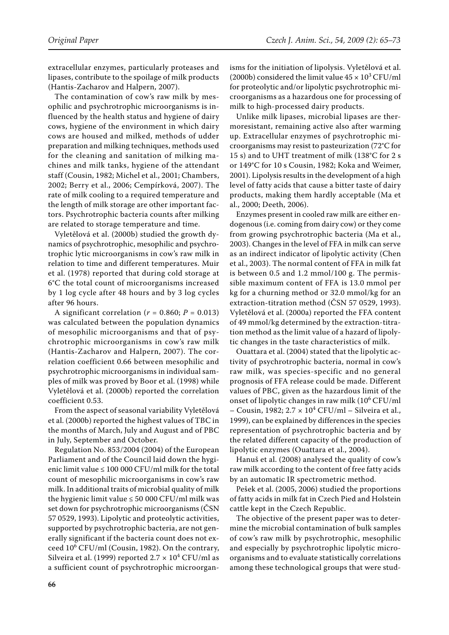extracellular enzymes, particularly proteases and lipases, contribute to the spoilage of milk products (Hantis-Zacharov and Halpern, 2007).

The contamination of cow's raw milk by mesophilic and psychrotrophic microorganisms is influenced by the health status and hygiene of dairy cows, hygiene of the environment in which dairy cows are housed and milked, methods of udder preparation and milking techniques, methods used for the cleaning and sanitation of milking machines and milk tanks, hygiene of the attendant staff (Cousin, 1982; Michel et al., 2001; Chambers, 2002; Berry et al., 2006; Cempírková, 2007). The rate of milk cooling to a required temperature and the length of milk storage are other important factors. Psychrotrophic bacteria counts after milking are related to storage temperature and time.

Vyletělová et al. (2000b) studied the growth dynamics of psychrotrophic, mesophilic and psychrotrophic lytic microorganisms in cow's raw milk in relation to time and different temperatures. Muir et al. (1978) reported that during cold storage at 6°C the total count of microorganisms increased by 1 log cycle after 48 hours and by 3 log cycles after 96 hours.

A significant correlation ( $r = 0.860$ ;  $P = 0.013$ ) was calculated between the population dynamics of mesophilic microorganisms and that of psychrotrophic microorganisms in cow's raw milk (Hantis-Zacharov and Halpern, 2007). The correlation coefficient 0.66 between mesophilic and psychrotrophic microorganisms in individual samples of milk was proved by Boor et al. (1998) while Vyletělová et al. (2000b) reported the correlation coefficient 0.53.

From the aspect of seasonal variability Vyletělová et al. (2000b) reported the highest values of TBC in the months of March, July and August and of PBC in July, September and October.

Regulation No. 853/2004 (2004) of the European Parliament and of the Council laid down the hygienic limit value  $\leq 100\,000$  CFU/ml milk for the total count of mesophilic microorganisms in cow's raw milk. In additional traits of microbial quality of milk the hygienic limit value  $\leq 50000$  CFU/ml milk was set down for psychrotrophic microorganisms (ČSN 57 0529, 1993). Lipolytic and proteolytic activities, supported by psychrotrophic bacteria, are not generally significant if the bacteria count does not exceed 10<sup>6</sup> CFU/ml (Cousin, 1982). On the contrary, Silveira et al. (1999) reported  $2.7 \times 10^4$  CFU/ml as a sufficient count of psychrotrophic microorganisms for the initiation of lipolysis. Vyletělová et al. (2000b) considered the limit value  $45 \times 10^3$  CFU/ml for proteolytic and/or lipolytic psychrotrophic microorganisms as a hazardous one for processing of milk to high-processed dairy products.

Unlike milk lipases, microbial lipases are thermoresistant, remaining active also after warming up. Extracellular enzymes of psychrotrophic microorganisms may resist to pasteurization (72°C for 15 s) and to UHT treatment of milk (138°C for 2 s or 149°C for 10 s Cousin, 1982; Koka and Weimer, 2001). Lipolysis results in the development of a high level of fatty acids that cause a bitter taste of dairy products, making them hardly acceptable (Ma et al., 2000; Deeth, 2006).

Enzymes present in cooled raw milk are either endogenous (i.e. coming from dairy cow) or they come from growing psychrotrophic bacteria (Ma et al., 2003). Changes in the level of FFA in milk can serve as an indirect indicator of lipolytic activity (Chen et al., 2003). The normal content of FFA in milk fat is between 0.5 and 1.2 mmol/100 g. The permissible maximum content of FFA is 13.0 mmol per kg for a churning method or 32.0 mmol/kg for an extraction-titration method (ČSN 57 0529, 1993). Vyletělová et al. (2000a) reported the FFA content of 49 mmol/kg determined by the extraction-titration method as the limit value of a hazard of lipolytic changes in the taste characteristics of milk.

Ouattara et al. (2004) stated that the lipolytic activity of psychrotrophic bacteria, normal in cow's raw milk, was species-specific and no general prognosis of FFA release could be made. Different values of PBC, given as the hazardous limit of the onset of lipolytic changes in raw milk  $(10^6$  CFU/ml  $-$  Cousin, 1982;  $2.7 \times 10^4$  CFU/ml  $-$  Silveira et al., 1999), can be explained by differences in the species representation of psychrotrophic bacteria and by the related different capacity of the production of lipolytic enzymes (Ouattara et al., 2004).

Hanuš et al. (2008) analysed the quality of cow's raw milk according to the content of free fatty acids by an automatic IR spectrometric method.

Pešek et al. (2005, 2006) studied the proportions of fatty acids in milk fat in Czech Pied and Holstein cattle kept in the Czech Republic.

The objective of the present paper was to determine the microbial contamination of bulk samples of cow's raw milk by psychrotrophic, mesophilic and especially by psychrotrophic lipolytic microorganisms and to evaluate statistically correlations among these technological groups that were stud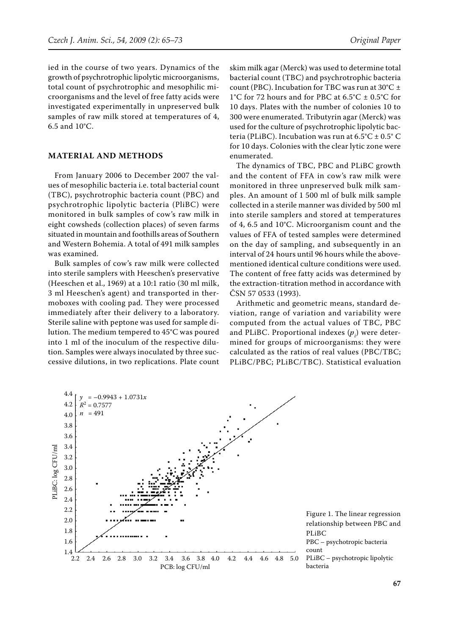ied in the course of two years. Dynamics of the growth of psychrotrophic lipolytic microorganisms, total count of psychrotrophic and mesophilic microorganisms and the level of free fatty acids were investigated experimentally in unpreserved bulk samples of raw milk stored at temperatures of 4, 6.5 and 10°C.

## **Material and MethodS**

From January 2006 to December 2007 the values of mesophilic bacteria i.e. total bacterial count (TBC), psychrotrophic bacteria count (PBC) and psychrotrophic lipolytic bacteria (PliBC) were monitored in bulk samples of cow's raw milk in eight cowsheds (collection places) of seven farms situated in mountain and foothills areas of Southern and Western Bohemia. A total of 491 milk samples was examined.

Bulk samples of cow's raw milk were collected into sterile samplers with Heeschen's preservative (Heeschen et al., 1969) at a 10:1 ratio (30 ml milk, 3 ml Heeschen's agent) and transported in thermoboxes with cooling pad. They were processed immediately after their delivery to a laboratory. Sterile saline with peptone was used for sample dilution. The medium tempered to 45°C was poured into 1 ml of the inoculum of the respective dilution. Samples were always inoculated by three successive dilutions, in two replications. Plate count

skim milk agar (Merck) was used to determine total bacterial count (TBC) and psychrotrophic bacteria count (PBC). Incubation for TBC was run at  $30^{\circ}$ C  $\pm$ 1°C for 72 hours and for PBC at 6.5°C  $\pm$  0.5°C for 10 days. Plates with the number of colonies 10 to 300 were enumerated. Tributyrin agar (Merck) was used for the culture of psychrotrophic lipolytic bacteria (PLiBC). Incubation was run at  $6.5^{\circ}$ C  $\pm$  0.5 $^{\circ}$  C for 10 days. Colonies with the clear lytic zone were enumerated.

The dynamics of TBC, PBC and PLiBC growth and the content of FFA in cow's raw milk were monitored in three unpreserved bulk milk samples. An amount of 1 500 ml of bulk milk sample collected in a sterile manner was divided by 500 ml into sterile samplers and stored at temperatures of 4, 6.5 and 10°C. Microorganism count and the values of FFA of tested samples were determined on the day of sampling, and subsequently in an interval of 24 hours until 96 hours while the abovementioned identical culture conditions were used. The content of free fatty acids was determined by the extraction-titration method in accordance with ČSN 57 0533 (1993).

Arithmetic and geometric means, standard deviation, range of variation and variability were computed from the actual values of TBC, PBC and PLiBC. Proportional indexes  $(p_i)$  were determined for groups of microorganisms: they were calculated as the ratios of real values (PBC/TBC; PLiBC/PBC; PLiBC/TBC). Statistical evaluation

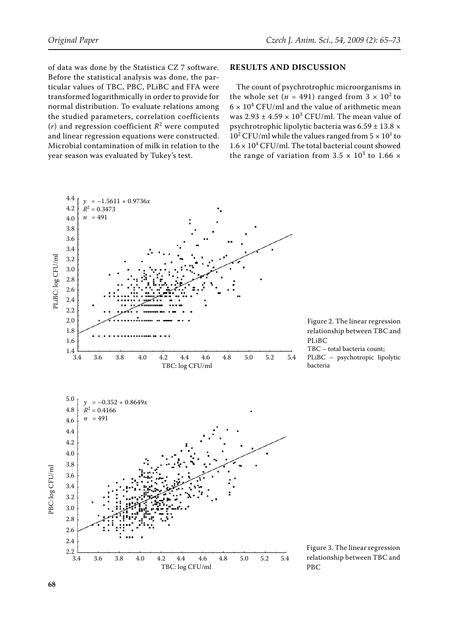of data was done by the Statistica CZ 7 software. Before the statistical analysis was done, the particular values of TBC, PBC, PLiBC and FFA were transformed logarithmically in order to provide for normal distribution. To evaluate relations among the studied parameters, correlation coefficients  $(r)$  and regression coefficient  $R^2$  were computed and linear regression equations were constructed. Microbial contamination of milk in relation to the year season was evaluated by Tukey's test.

#### **Results and discussion**

The count of psychrotrophic microorganisms in the whole set ( $n = 491$ ) ranged from  $3 \times 10^2$  to  $6 \times 10^4$  CFU/ml and the value of arithmetic mean was  $2.93 \pm 4.59 \times 10^3$  CFU/ml. The mean value of psychrotrophic lipolytic bacteria was 6.59 ± 13.8 ×  $10^2$  CFU/ml while the values ranged from  $5 \times 10^1$  to  $1.6 \times 10^4$  CFU/ml. The total bacterial count showed the range of variation from  $3.5 \times 10^3$  to  $1.66 \times$ 

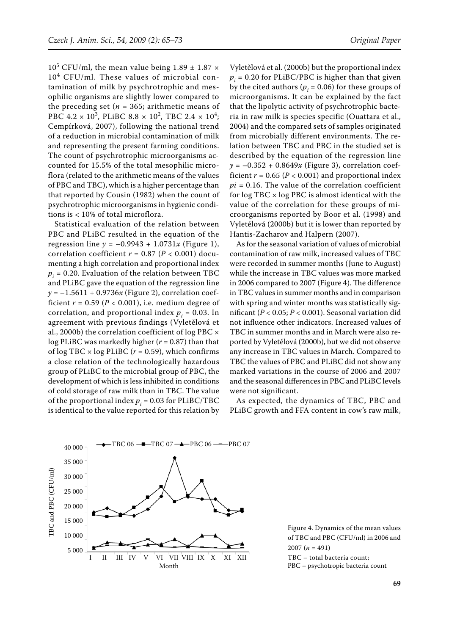$10^5$  CFU/ml, the mean value being  $1.89 \pm 1.87 \times$ 104 CFU/ml. These values of microbial contamination of milk by psychrotrophic and mesophilic organisms are slightly lower compared to the preceding set ( $n = 365$ ; arithmetic means of PBC  $4.2 \times 10^3$ , PLiBC  $8.8 \times 10^2$ , TBC  $2.4 \times 10^4$ ; Cempírková, 2007), following the national trend of a reduction in microbial contamination of milk and representing the present farming conditions. The count of psychrotrophic microorganisms accounted for 15.5% of the total mesophilic microflora (related to the arithmetic means of the values of PBC and TBC), which is a higher percentage than that reported by Cousin (1982) when the count of psychrotrophic microorganisms in hygienic conditions is < 10% of total microflora.

Statistical evaluation of the relation between PBC and PLiBC resulted in the equation of the regression line  $y = -0.9943 + 1.0731x$  (Figure 1), correlation coefficient  $r = 0.87$  ( $P < 0.001$ ) documenting a high correlation and proportional index  $p_i = 0.20$ . Evaluation of the relation between TBC and PLiBC gave the equation of the regression line  $y = -1.5611 + 0.9736x$  (Figure 2), correlation coefficient  $r = 0.59$  ( $P < 0.001$ ), i.e. medium degree of correlation, and proportional index  $p_i = 0.03$ . In agreement with previous findings (Vyletělová et al., 2000b) the correlation coefficient of log PBC × log PLiBC was markedly higher (*r* = 0.87) than that of  $\log$  TBC  $\times$   $\log$  PLiBC ( $r$  = 0.59), which confirms a close relation of the technologically hazardous group of PLiBC to the microbial group of PBC, the development of which is less inhibited in conditions of cold storage of raw milk than in TBC. The value of the proportional index  $p_i = 0.03$  for PLiBC/TBC is identical to the value reported for this relation by

Vyletělová et al. (2000b) but the proportional index  $p_i$  = 0.20 for PLiBC/PBC is higher than that given by the cited authors ( $p_i$  = 0.06) for these groups of microorganisms. It can be explained by the fact that the lipolytic activity of psychrotrophic bacteria in raw milk is species specific (Ouattara et al., 2004) and the compared sets of samples originated from microbially different environments. The relation between TBC and PBC in the studied set is described by the equation of the regression line  $y = -0.352 + 0.8649x$  (Figure 3), correlation coefficient  $r = 0.65$  ( $P < 0.001$ ) and proportional index  $pi = 0.16$ . The value of the correlation coefficient for  $log TBC \times log PBC$  is almost identical with the value of the correlation for these groups of microorganisms reported by Boor et al. (1998) and Vyletělová (2000b) but it is lower than reported by Hantis-Zacharov and Halpern (2007).

As for the seasonal variation of values of microbial contamination of raw milk, increased values of TBC were recorded in summer months (June to August) while the increase in TBC values was more marked in 2006 compared to 2007 (Figure 4). The difference in TBC values in summer months and in comparison with spring and winter months was statistically significant (*P* < 0.05; *P* < 0.001). Seasonal variation did not influence other indicators. Increased values of TBC in summer months and in March were also reported by Vyletělová (2000b), but we did not observe any increase in TBC values in March. Compared to TBC the values of PBC and PLiBC did not show any marked variations in the course of 2006 and 2007 and the seasonal differences in PBC and PLiBC levels were not significant.

As expected, the dynamics of TBC, PBC and PLiBC growth and FFA content in cow's raw milk,



Figure 4. Dynamics of the mean values of TBC and PBC (CFU/ml) in 2006 and 2007 (*n* = 491) TBC – total bacteria count;

PBC – psychotropic bacteria count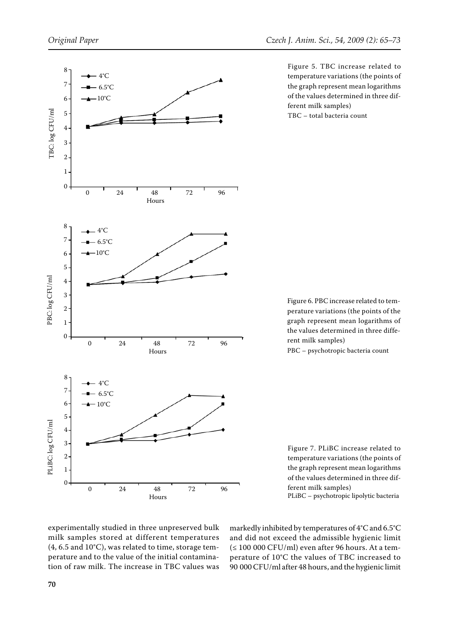

Figure 5. TBC increase related to temperature variations (the points of the graph represent mean logarithms of the values determined in three different milk samples) TBC – total bacteria count

Figure 6. PBC increase related to temperature variations (the points of the graph represent mean logarithms of the values determined in three different milk samples)

PBC – psychotropic bacteria count

Figure 7. PLiBC increase related to temperature variations (the points of the graph represent mean logarithms of the values determined in three different milk samples)

PLiBC – psychotropic lipolytic bacteria

experimentally studied in three unpreserved bulk milk samples stored at different temperatures (4, 6.5 and 10°C), was related to time, storage temperature and to the value of the initial contamination of raw milk. The increase in TBC values was

markedly inhibited by temperatures of 4°C and 6.5°C and did not exceed the admissible hygienic limit  $(\leq 100\ 000\ \textrm{CFU/ml})$  even after 96 hours. At a temperature of 10°C the values of TBC increased to 90 000 CFU/ml after 48 hours, and the hygienic limit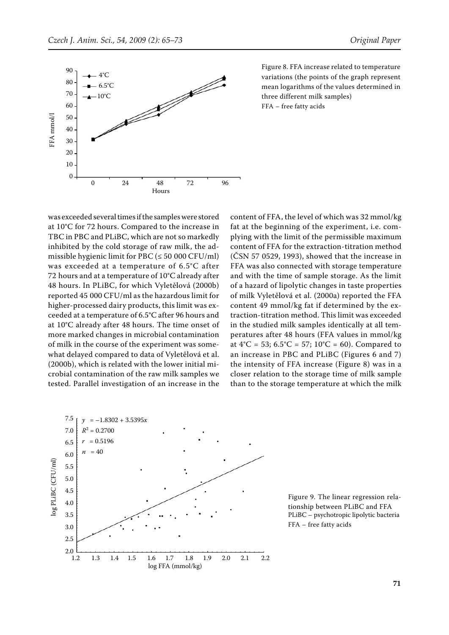

Figure 8. FFA increase related to temperature variations (the points of the graph represent mean logarithms of the values determined in three different milk samples) FFA – free fatty acids

was exceeded several times if the samples were stored at 10°C for 72 hours. Compared to the increase in TBC in PBC and PLiBC, which are not so markedly inhibited by the cold storage of raw milk, the admissible hygienic limit for PBC ( $\leq$  50 000 CFU/ml) was exceeded at a temperature of 6.5°C after 72 hours and at a temperature of 10°C already after 48 hours. In PLiBC, for which Vyletělová (2000b) reported 45 000 CFU/ml as the hazardous limit for higher-processed dairy products, this limit was exceeded at a temperature of 6.5°C after 96 hours and at 10°C already after 48 hours. The time onset of more marked changes in microbial contamination of milk in the course of the experiment was somewhat delayed compared to data of Vyletělová et al. (2000b), which is related with the lower initial microbial contamination of the raw milk samples we tested. Parallel investigation of an increase in the

content of FFA, the level of which was 32 mmol/kg fat at the beginning of the experiment, i.e. complying with the limit of the permissible maximum content of FFA for the extraction-titration method (ČSN 57 0529, 1993), showed that the increase in FFA was also connected with storage temperature and with the time of sample storage. As the limit of a hazard of lipolytic changes in taste properties of milk Vyletělová et al. (2000a) reported the FFA content 49 mmol/kg fat if determined by the extraction-titration method. This limit was exceeded in the studied milk samples identically at all temperatures after 48 hours (FFA values in mmol/kg at  $4^{\circ}$ C = 53;  $6.5^{\circ}$ C = 57;  $10^{\circ}$ C = 60). Compared to an increase in PBC and PLiBC (Figures 6 and 7) the intensity of FFA increase (Figure 8) was in a closer relation to the storage time of milk sample than to the storage temperature at which the milk



Figure 9. The linear regression relationship between PLiBC and FFA PLiBC – psychotropic lipolytic bacteria FFA – free fatty acids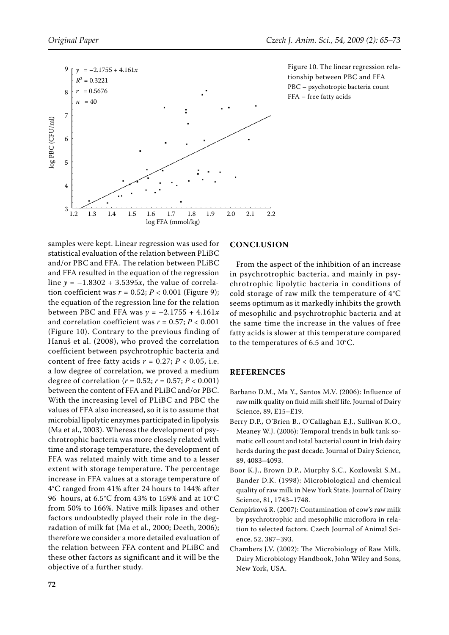

Figure 10. The linear regression relationship between PBC and FFA PBC – psychotropic bacteria count FFA – free fatty acids

samples were kept. Linear regression was used for statistical evaluation of the relation between PLiBC and/or PBC and FFA. The relation between PLiBC and FFA resulted in the equation of the regression line  $y = -1.8302 + 3.5395x$ , the value of correlation coefficient was  $r = 0.52$ ;  $P < 0.001$  (Figure 9); the equation of the regression line for the relation between PBC and FFA was  $y = -2.1755 + 4.161x$ and correlation coefficient was  $r = 0.57$ ;  $P < 0.001$ (Figure 10). Contrary to the previous finding of Hanuš et al. (2008), who proved the correlation coefficient between psychrotrophic bacteria and content of free fatty acids  $r = 0.27$ ;  $P < 0.05$ , i.e. a low degree of correlation, we proved a medium degree of correlation ( $r = 0.52$ ;  $r = 0.57$ ;  $P < 0.001$ ) between the content of FFA and PLiBC and/or PBC. With the increasing level of PLiBC and PBC the values of FFA also increased, so it is to assume that microbial lipolytic enzymes participated in lipolysis (Ma et al., 2003). Whereas the development of psychrotrophic bacteria was more closely related with time and storage temperature, the development of FFA was related mainly with time and to a lesser extent with storage temperature. The percentage increase in FFA values at a storage temperature of 4°C ranged from 41% after 24 hours to 144% after 96 hours, at 6.5°C from 43% to 159% and at 10°C from 50% to 166%. Native milk lipases and other factors undoubtedly played their role in the degradation of milk fat (Ma et al., 2000; Deeth, 2006); therefore we consider a more detailed evaluation of the relation between FFA content and PLiBC and these other factors as significant and it will be the objective of a further study.

## **CONCLUSION**

From the aspect of the inhibition of an increase in psychrotrophic bacteria, and mainly in psychrotrophic lipolytic bacteria in conditions of cold storage of raw milk the temperature of 4°C seems optimum as it markedly inhibits the growth of mesophilic and psychrotrophic bacteria and at the same time the increase in the values of free fatty acids is slower at this temperature compared to the temperatures of 6.5 and 10°C.

#### **References**

- Barbano D.M., Ma Y., Santos M.V. (2006): Influence of raw milk quality on fluid milk shelf life. Journal of Dairy Science, 89, E15–E19.
- Berry D.P., O'Brien B., O'Callaghan E.J., Sullivan K.O., Meaney W.J. (2006): Temporal trends in bulk tank somatic cell count and total bacterial count in Irish dairy herds during the past decade. Journal of Dairy Science, 89, 4083–4093.
- Boor K.J., Brown D.P., Murphy S.C., Kozlowski S.M., Bander D.K. (1998): Microbiological and chemical quality of raw milk in New York State. Journal of Dairy Science, 81, 1743–1748.
- Cempírková R. (2007): Contamination of cow's raw milk by psychrotrophic and mesophilic microflora in relation to selected factors. Czech Journal of Animal Science, 52, 387–393.
- Chambers J.V. (2002): The Microbiology of Raw Milk. Dairy Microbiology Handbook, John Wiley and Sons, New York, USA.